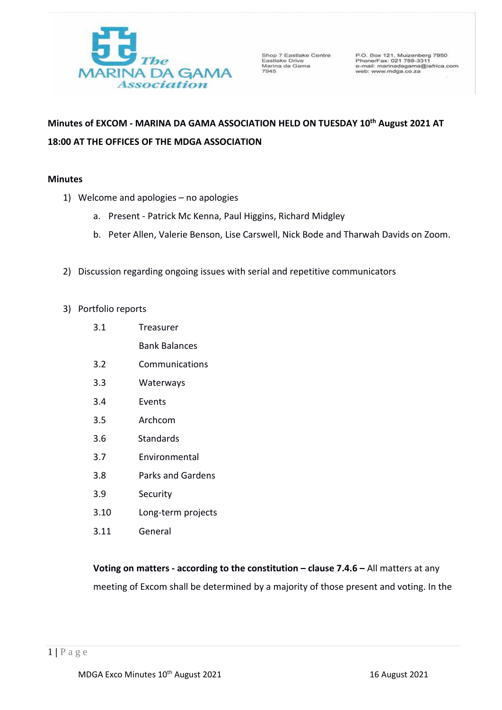

Shop 7 Eastlake Centre<br>Eastlake Drive<br>Marina da Gama<br>7945

P.O. Box 121, Muizenberg 7950<br>Phone/Fax: 021 788-3311<br>e-mail: marinadagama@iafrica.com<br>web: www.mdga.co.za

# **Minutes of EXCOM - MARINA DA GAMA ASSOCIATION HELD ON TUESDAY 10 th August 2021 AT 18:00 AT THE OFFICES OF THE MDGA ASSOCIATION**

## **Minutes**

- 1) Welcome and apologies no apologies
	- a. Present Patrick Mc Kenna, Paul Higgins, Richard Midgley
	- b. Peter Allen, Valerie Benson, Lise Carswell, Nick Bode and Tharwah Davids on Zoom.
- 2) Discussion regarding ongoing issues with serial and repetitive communicators
- 3) Portfolio reports
	- 3.1 Treasurer Bank Balances
	- 3.2 Communications
	- 3.3 Waterways
	- 3.4 Events
	- 3.5 Archcom
	- 3.6 Standards
	- 3.7 Environmental
	- 3.8 Parks and Gardens
	- 3.9 Security
	- 3.10 Long-term projects
	- 3.11 General

**Voting on matters - according to the constitution – clause 7.4.6 – All matters at any** meeting of Excom shall be determined by a majority of those present and voting. In the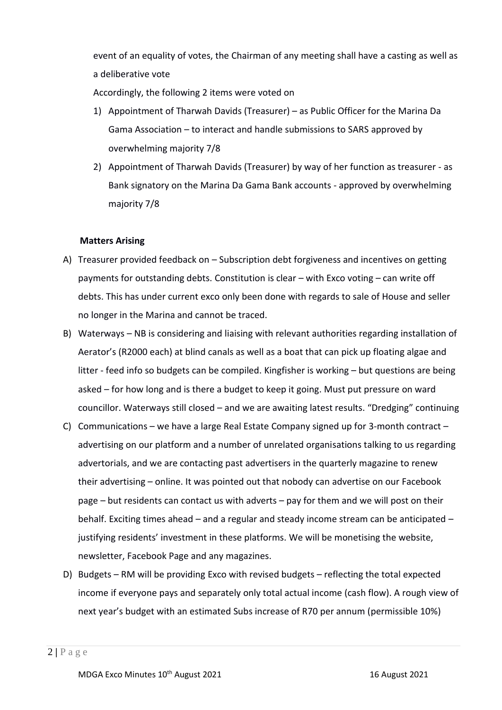event of an equality of votes, the Chairman of any meeting shall have a casting as well as a deliberative vote

Accordingly, the following 2 items were voted on

- 1) Appointment of Tharwah Davids (Treasurer) as Public Officer for the Marina Da Gama Association – to interact and handle submissions to SARS approved by overwhelming majority 7/8
- 2) Appointment of Tharwah Davids (Treasurer) by way of her function as treasurer as Bank signatory on the Marina Da Gama Bank accounts - approved by overwhelming majority 7/8

## **Matters Arising**

- A) Treasurer provided feedback on Subscription debt forgiveness and incentives on getting payments for outstanding debts. Constitution is clear – with Exco voting – can write off debts. This has under current exco only been done with regards to sale of House and seller no longer in the Marina and cannot be traced.
- B) Waterways NB is considering and liaising with relevant authorities regarding installation of Aerator's (R2000 each) at blind canals as well as a boat that can pick up floating algae and litter - feed info so budgets can be compiled. Kingfisher is working – but questions are being asked – for how long and is there a budget to keep it going. Must put pressure on ward councillor. Waterways still closed – and we are awaiting latest results. "Dredging" continuing
- C) Communications we have a large Real Estate Company signed up for 3-month contract advertising on our platform and a number of unrelated organisations talking to us regarding advertorials, and we are contacting past advertisers in the quarterly magazine to renew their advertising – online. It was pointed out that nobody can advertise on our Facebook page – but residents can contact us with adverts – pay for them and we will post on their behalf. Exciting times ahead – and a regular and steady income stream can be anticipated – justifying residents' investment in these platforms. We will be monetising the website, newsletter, Facebook Page and any magazines.
- D) Budgets RM will be providing Exco with revised budgets reflecting the total expected income if everyone pays and separately only total actual income (cash flow). A rough view of next year's budget with an estimated Subs increase of R70 per annum (permissible 10%)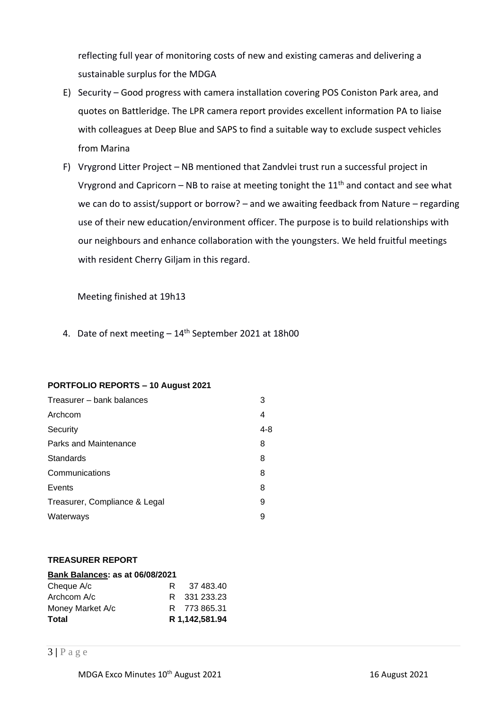reflecting full year of monitoring costs of new and existing cameras and delivering a sustainable surplus for the MDGA

- E) Security Good progress with camera installation covering POS Coniston Park area, and quotes on Battleridge. The LPR camera report provides excellent information PA to liaise with colleagues at Deep Blue and SAPS to find a suitable way to exclude suspect vehicles from Marina
- F) Vrygrond Litter Project NB mentioned that Zandvlei trust run a successful project in Vrygrond and Capricorn – NB to raise at meeting tonight the  $11<sup>th</sup>$  and contact and see what we can do to assist/support or borrow? – and we awaiting feedback from Nature – regarding use of their new education/environment officer. The purpose is to build relationships with our neighbours and enhance collaboration with the youngsters. We held fruitful meetings with resident Cherry Giljam in this regard.

Meeting finished at 19h13

4. Date of next meeting - 14<sup>th</sup> September 2021 at 18h00

#### **PORTFOLIO REPORTS – 10 August 2021**

| Treasurer – bank balances     | 3       |
|-------------------------------|---------|
| Archcom                       | 4       |
| Security                      | $4 - 8$ |
| Parks and Maintenance         | 8       |
| Standards                     | 8       |
| Communications                | 8       |
| Events                        | 8       |
| Treasurer, Compliance & Legal | 9       |
| Waterways                     | 9       |

#### **TREASURER REPORT**

| Bank Balances: as at 06/08/2021 |    |                |  |  |  |  |  |  |  |
|---------------------------------|----|----------------|--|--|--|--|--|--|--|
| Cheque A/c                      | R. | 37 483.40      |  |  |  |  |  |  |  |
| Archcom A/c                     |    | R 331 233 23   |  |  |  |  |  |  |  |
| Money Market A/c                |    | R 773 865.31   |  |  |  |  |  |  |  |
| <b>Total</b>                    |    | R 1.142.581.94 |  |  |  |  |  |  |  |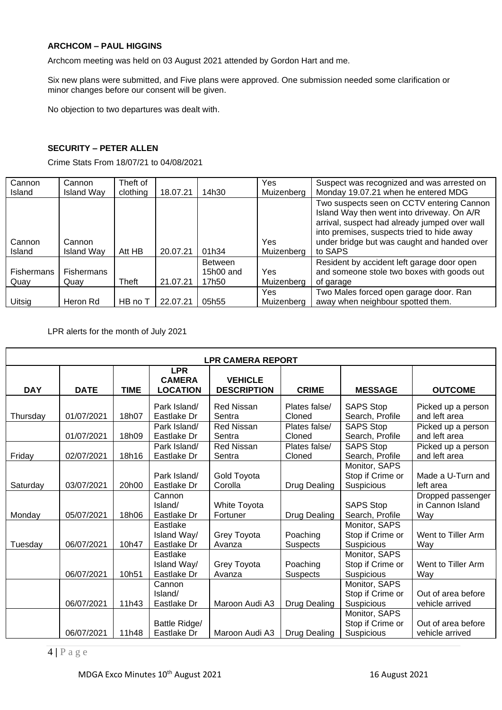## **ARCHCOM – PAUL HIGGINS**

Archcom meeting was held on 03 August 2021 attended by Gordon Hart and me.

Six new plans were submitted, and Five plans were approved. One submission needed some clarification or minor changes before our consent will be given.

No objection to two departures was dealt with.

### **SECURITY – PETER ALLEN**

Crime Stats From 18/07/21 to 04/08/2021

| Cannon<br><b>Island</b>   | Cannon<br><b>Island Way</b> | Theft of<br>clothing | 18.07.21 | 14h30                                | Yes<br>Muizenberg  | Suspect was recognized and was arrested on<br>Monday 19.07.21 when he entered MDG                                                                                                                                                                |
|---------------------------|-----------------------------|----------------------|----------|--------------------------------------|--------------------|--------------------------------------------------------------------------------------------------------------------------------------------------------------------------------------------------------------------------------------------------|
| Cannon<br><b>Island</b>   | Cannon<br><b>Island Way</b> | Att HB               | 20.07.21 | 01h34                                | Yes<br>Muizenberg  | Two suspects seen on CCTV entering Cannon<br>Island Way then went into driveway. On A/R<br>arrival, suspect had already jumped over wall<br>into premises, suspects tried to hide away<br>under bridge but was caught and handed over<br>to SAPS |
| <b>Fishermans</b><br>Quay | <b>Fishermans</b><br>Quay   | Theft                | 21.07.21 | <b>Between</b><br>15h00 and<br>17h50 | Yes<br>Muizenberg  | Resident by accident left garage door open<br>and someone stole two boxes with goods out<br>of garage                                                                                                                                            |
| Uitsig                    | Heron Rd                    | HB no T              | 22.07.21 | 05h55                                | Yes.<br>Muizenberg | Two Males forced open garage door. Ran<br>away when neighbour spotted them.                                                                                                                                                                      |

LPR alerts for the month of July 2021

| <b>LPR CAMERA REPORT</b> |             |             |                                                |                                      |                             |                                                 |                                              |  |
|--------------------------|-------------|-------------|------------------------------------------------|--------------------------------------|-----------------------------|-------------------------------------------------|----------------------------------------------|--|
| <b>DAY</b>               | <b>DATE</b> | <b>TIME</b> | <b>LPR</b><br><b>CAMERA</b><br><b>LOCATION</b> | <b>VEHICLE</b><br><b>DESCRIPTION</b> | <b>CRIME</b>                | <b>MESSAGE</b>                                  | <b>OUTCOME</b>                               |  |
| Thursday                 | 01/07/2021  | 18h07       | Park Island/<br>Eastlake Dr                    | <b>Red Nissan</b><br>Sentra          | Plates false/<br>Cloned     | <b>SAPS Stop</b><br>Search, Profile             | Picked up a person<br>and left area          |  |
|                          | 01/07/2021  | 18h09       | Park Island/<br>Eastlake Dr                    | <b>Red Nissan</b><br>Sentra          | Plates false/<br>Cloned     | <b>SAPS Stop</b><br>Search, Profile             | Picked up a person<br>and left area          |  |
| Friday                   | 02/07/2021  | 18h16       | Park Island/<br>Eastlake Dr                    | <b>Red Nissan</b><br>Sentra          | Plates false/<br>Cloned     | <b>SAPS Stop</b><br>Search, Profile             | Picked up a person<br>and left area          |  |
| Saturday                 | 03/07/2021  | 20h00       | Park Island/<br>Eastlake Dr                    | <b>Gold Toyota</b><br>Corolla        | Drug Dealing                | Monitor, SAPS<br>Stop if Crime or<br>Suspicious | Made a U-Turn and<br>left area               |  |
| Monday                   | 05/07/2021  | 18h06       | Cannon<br>Island/<br>Eastlake Dr               | White Toyota<br>Fortuner             | Drug Dealing                | <b>SAPS Stop</b><br>Search, Profile             | Dropped passenger<br>in Cannon Island<br>Way |  |
| Tuesday                  | 06/07/2021  | 10h47       | Eastlake<br>Island Way/<br>Eastlake Dr         | Grey Toyota<br>Avanza                | Poaching<br><b>Suspects</b> | Monitor, SAPS<br>Stop if Crime or<br>Suspicious | Went to Tiller Arm<br>Way                    |  |
|                          | 06/07/2021  | 10h51       | Eastlake<br>Island Way/<br>Eastlake Dr         | Grey Toyota<br>Avanza                | Poaching<br><b>Suspects</b> | Monitor, SAPS<br>Stop if Crime or<br>Suspicious | Went to Tiller Arm<br>Way                    |  |
|                          | 06/07/2021  | 11h43       | Cannon<br>Island/<br>Eastlake Dr               | Maroon Audi A3                       | Drug Dealing                | Monitor, SAPS<br>Stop if Crime or<br>Suspicious | Out of area before<br>vehicle arrived        |  |
|                          | 06/07/2021  | 11h48       | Battle Ridge/<br>Eastlake Dr                   | Maroon Audi A3                       | <b>Drug Dealing</b>         | Monitor, SAPS<br>Stop if Crime or<br>Suspicious | Out of area before<br>vehicle arrived        |  |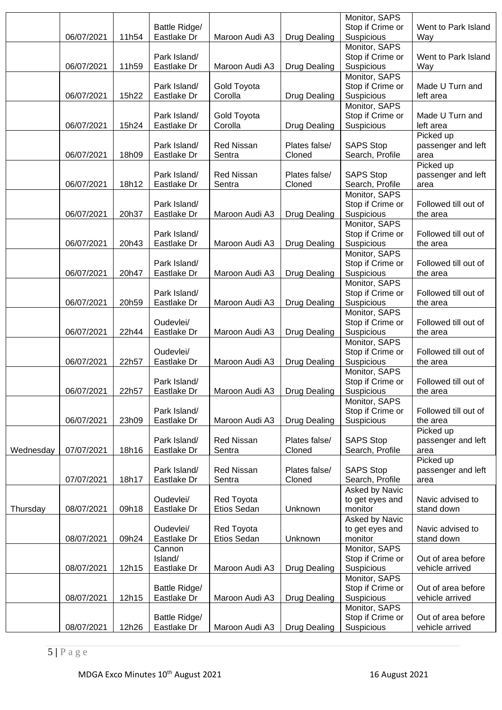|           | 06/07/2021 | 11h54 | Battle Ridge/<br>Eastlake Dr     | Maroon Audi A3                | Drug Dealing            | Monitor, SAPS<br>Stop if Crime or<br>Suspicious | Went to Park Island<br>Way              |
|-----------|------------|-------|----------------------------------|-------------------------------|-------------------------|-------------------------------------------------|-----------------------------------------|
|           | 06/07/2021 | 11h59 | Park Island/<br>Eastlake Dr      | Maroon Audi A3                | <b>Drug Dealing</b>     | Monitor, SAPS<br>Stop if Crime or<br>Suspicious | Went to Park Island<br>Way              |
|           | 06/07/2021 | 15h22 | Park Island/<br>Eastlake Dr      | Gold Toyota<br>Corolla        | Drug Dealing            | Monitor, SAPS<br>Stop if Crime or<br>Suspicious | Made U Turn and<br>left area            |
|           | 06/07/2021 | 15h24 | Park Island/<br>Eastlake Dr      | Gold Toyota<br>Corolla        | <b>Drug Dealing</b>     | Monitor, SAPS<br>Stop if Crime or<br>Suspicious | Made U Turn and<br>left area            |
|           | 06/07/2021 | 18h09 | Park Island/<br>Eastlake Dr      | <b>Red Nissan</b><br>Sentra   | Plates false/<br>Cloned | <b>SAPS Stop</b><br>Search, Profile             | Picked up<br>passenger and left<br>area |
|           | 06/07/2021 | 18h12 | Park Island/<br>Eastlake Dr      | <b>Red Nissan</b><br>Sentra   | Plates false/<br>Cloned | <b>SAPS Stop</b><br>Search, Profile             | Picked up<br>passenger and left<br>area |
|           | 06/07/2021 | 20h37 | Park Island/<br>Eastlake Dr      | Maroon Audi A3                | <b>Drug Dealing</b>     | Monitor, SAPS<br>Stop if Crime or<br>Suspicious | Followed till out of<br>the area        |
|           | 06/07/2021 | 20h43 | Park Island/<br>Eastlake Dr      | Maroon Audi A3                | Drug Dealing            | Monitor, SAPS<br>Stop if Crime or<br>Suspicious | Followed till out of<br>the area        |
|           | 06/07/2021 | 20h47 | Park Island/<br>Eastlake Dr      | Maroon Audi A3                | Drug Dealing            | Monitor, SAPS<br>Stop if Crime or<br>Suspicious | Followed till out of<br>the area        |
|           | 06/07/2021 | 20h59 | Park Island/<br>Eastlake Dr      | Maroon Audi A3                | <b>Drug Dealing</b>     | Monitor, SAPS<br>Stop if Crime or<br>Suspicious | Followed till out of<br>the area        |
|           | 06/07/2021 | 22h44 | Oudevlei/<br>Eastlake Dr         | Maroon Audi A3                | Drug Dealing            | Monitor, SAPS<br>Stop if Crime or<br>Suspicious | Followed till out of<br>the area        |
|           | 06/07/2021 | 22h57 | Oudevlei/<br>Eastlake Dr         | Maroon Audi A3                | <b>Drug Dealing</b>     | Monitor, SAPS<br>Stop if Crime or<br>Suspicious | Followed till out of<br>the area        |
|           | 06/07/2021 | 22h57 | Park Island/<br>Eastlake Dr      | Maroon Audi A3   Drug Dealing |                         | Monitor, SAPS<br>Stop if Crime or<br>Suspicious | Followed till out of<br>the area        |
|           | 06/07/2021 | 23h09 | Park Island/<br>Eastlake Dr      | Maroon Audi A3                | <b>Drug Dealing</b>     | Monitor, SAPS<br>Stop if Crime or<br>Suspicious | Followed till out of<br>the area        |
| Wednesday | 07/07/2021 | 18h16 | Park Island/<br>Eastlake Dr      | <b>Red Nissan</b><br>Sentra   | Plates false/<br>Cloned | <b>SAPS Stop</b><br>Search, Profile             | Picked up<br>passenger and left<br>area |
|           | 07/07/2021 | 18h17 | Park Island/<br>Eastlake Dr      | <b>Red Nissan</b><br>Sentra   | Plates false/<br>Cloned | <b>SAPS Stop</b><br>Search, Profile             | Picked up<br>passenger and left<br>area |
| Thursday  | 08/07/2021 | 09h18 | Oudevlei/<br>Eastlake Dr         | Red Toyota<br>Etios Sedan     | Unknown                 | Asked by Navic<br>to get eyes and<br>monitor    | Navic advised to<br>stand down          |
|           | 08/07/2021 | 09h24 | Oudevlei/<br>Eastlake Dr         | Red Toyota<br>Etios Sedan     | Unknown                 | Asked by Navic<br>to get eyes and<br>monitor    | Navic advised to<br>stand down          |
|           | 08/07/2021 | 12h15 | Cannon<br>Island/<br>Eastlake Dr | Maroon Audi A3                | Drug Dealing            | Monitor, SAPS<br>Stop if Crime or<br>Suspicious | Out of area before<br>vehicle arrived   |
|           | 08/07/2021 | 12h15 | Battle Ridge/<br>Eastlake Dr     | Maroon Audi A3                | <b>Drug Dealing</b>     | Monitor, SAPS<br>Stop if Crime or<br>Suspicious | Out of area before<br>vehicle arrived   |
|           | 08/07/2021 | 12h26 | Battle Ridge/<br>Eastlake Dr     | Maroon Audi A3                | <b>Drug Dealing</b>     | Monitor, SAPS<br>Stop if Crime or<br>Suspicious | Out of area before<br>vehicle arrived   |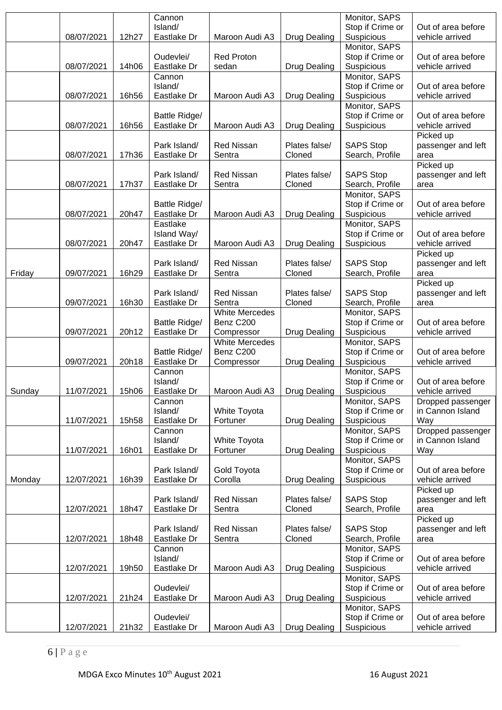|        |            |       | Cannon<br>Island/            |                             |                         | Monitor, SAPS<br>Stop if Crime or   | Out of area before                    |
|--------|------------|-------|------------------------------|-----------------------------|-------------------------|-------------------------------------|---------------------------------------|
|        | 08/07/2021 | 12h27 | Eastlake Dr                  | Maroon Audi A3              | <b>Drug Dealing</b>     | Suspicious                          | vehicle arrived                       |
|        |            |       |                              |                             |                         | Monitor, SAPS                       |                                       |
|        |            |       | Oudevlei/                    | Red Proton                  |                         | Stop if Crime or                    | Out of area before                    |
|        | 08/07/2021 | 14h06 | Eastlake Dr                  | sedan                       | <b>Drug Dealing</b>     | Suspicious                          | vehicle arrived                       |
|        |            |       | Cannon<br>Island/            |                             |                         | Monitor, SAPS<br>Stop if Crime or   | Out of area before                    |
|        | 08/07/2021 | 16h56 | Eastlake Dr                  | Maroon Audi A3              | <b>Drug Dealing</b>     | Suspicious                          | vehicle arrived                       |
|        |            |       |                              |                             |                         | Monitor, SAPS                       |                                       |
|        |            |       | Battle Ridge/                |                             |                         | Stop if Crime or                    | Out of area before                    |
|        | 08/07/2021 | 16h56 | Eastlake Dr                  | Maroon Audi A3              | <b>Drug Dealing</b>     | Suspicious                          | vehicle arrived                       |
|        |            |       | Park Island/                 | <b>Red Nissan</b>           | Plates false/           | <b>SAPS Stop</b>                    | Picked up<br>passenger and left       |
|        | 08/07/2021 | 17h36 | Eastlake Dr                  | Sentra                      | Cloned                  | Search, Profile                     | area                                  |
|        |            |       |                              |                             |                         |                                     | Picked up                             |
|        |            |       | Park Island/                 | <b>Red Nissan</b>           | Plates false/           | <b>SAPS Stop</b>                    | passenger and left                    |
|        | 08/07/2021 | 17h37 | Eastlake Dr                  | Sentra                      | Cloned                  | Search, Profile                     | area                                  |
|        |            |       |                              |                             |                         | Monitor, SAPS<br>Stop if Crime or   | Out of area before                    |
|        | 08/07/2021 | 20h47 | Battle Ridge/<br>Eastlake Dr | Maroon Audi A3              | <b>Drug Dealing</b>     | Suspicious                          | vehicle arrived                       |
|        |            |       | Eastlake                     |                             |                         | Monitor, SAPS                       |                                       |
|        |            |       | Island Way/                  |                             |                         | Stop if Crime or                    | Out of area before                    |
|        | 08/07/2021 | 20h47 | Eastlake Dr                  | Maroon Audi A3              | <b>Drug Dealing</b>     | Suspicious                          | vehicle arrived                       |
|        |            |       |                              |                             |                         |                                     | Picked up                             |
| Friday | 09/07/2021 | 16h29 | Park Island/<br>Eastlake Dr  | <b>Red Nissan</b><br>Sentra | Plates false/<br>Cloned | <b>SAPS Stop</b><br>Search, Profile | passenger and left<br>area            |
|        |            |       |                              |                             |                         |                                     | Picked up                             |
|        |            |       | Park Island/                 | <b>Red Nissan</b>           | Plates false/           | <b>SAPS Stop</b>                    | passenger and left                    |
|        | 09/07/2021 | 16h30 | Eastlake Dr                  | Sentra                      | Cloned                  | Search, Profile                     | area                                  |
|        |            |       |                              | <b>White Mercedes</b>       |                         | Monitor, SAPS                       |                                       |
|        | 09/07/2021 | 20h12 | Battle Ridge/<br>Eastlake Dr | Benz C200<br>Compressor     | <b>Drug Dealing</b>     | Stop if Crime or<br>Suspicious      | Out of area before<br>vehicle arrived |
|        |            |       |                              | <b>White Mercedes</b>       |                         | Monitor, SAPS                       |                                       |
|        |            |       | Battle Ridge/                | Benz C200                   |                         | Stop if Crime or                    | Out of area before                    |
|        | 09/07/2021 | 20h18 | Eastlake Dr                  | Compressor                  | <b>Drug Dealing</b>     | Suspicious                          | vehicle arrived                       |
|        |            |       | Cannon                       |                             |                         | Monitor, SAPS                       |                                       |
|        | 11/07/2021 | 15h06 | Island/<br>Eastlake Dr       |                             |                         | Stop if Crime or<br>Suspicious      | Out of area before                    |
| Sunday |            |       | Cannon                       | Maroon Audi A3              | Drug Dealing            | Monitor, SAPS                       | vehicle arrived<br>Dropped passenger  |
|        |            |       | Island/                      | White Toyota                |                         | Stop if Crime or                    | in Cannon Island                      |
|        | 11/07/2021 | 15h58 | Eastlake Dr                  | Fortuner                    | <b>Drug Dealing</b>     | Suspicious                          | Way                                   |
|        |            |       | Cannon                       |                             |                         | Monitor, SAPS                       | Dropped passenger                     |
|        |            |       | Island/                      | White Toyota                |                         | Stop if Crime or                    | in Cannon Island                      |
|        | 11/07/2021 | 16h01 | Eastlake Dr                  | Fortuner                    | <b>Drug Dealing</b>     | Suspicious<br>Monitor, SAPS         | Way                                   |
|        |            |       | Park Island/                 | Gold Toyota                 |                         | Stop if Crime or                    | Out of area before                    |
| Monday | 12/07/2021 | 16h39 | Eastlake Dr                  | Corolla                     | <b>Drug Dealing</b>     | Suspicious                          | vehicle arrived                       |
|        |            |       |                              |                             |                         |                                     | Picked up                             |
|        |            |       | Park Island/                 | <b>Red Nissan</b>           | Plates false/           | <b>SAPS Stop</b>                    | passenger and left                    |
|        | 12/07/2021 | 18h47 | Eastlake Dr                  | Sentra                      | Cloned                  | Search, Profile                     | area                                  |
|        |            |       | Park Island/                 | <b>Red Nissan</b>           | Plates false/           | <b>SAPS Stop</b>                    | Picked up<br>passenger and left       |
|        | 12/07/2021 | 18h48 | Eastlake Dr                  | Sentra                      | Cloned                  | Search, Profile                     | area                                  |
|        |            |       | Cannon                       |                             |                         | Monitor, SAPS                       |                                       |
|        |            |       | Island/                      |                             |                         | Stop if Crime or                    | Out of area before                    |
|        | 12/07/2021 | 19h50 | Eastlake Dr                  | Maroon Audi A3              | Drug Dealing            | Suspicious                          | vehicle arrived                       |
|        |            |       | Oudevlei/                    |                             |                         | Monitor, SAPS<br>Stop if Crime or   | Out of area before                    |
|        | 12/07/2021 | 21h24 | Eastlake Dr                  | Maroon Audi A3              | Drug Dealing            | Suspicious                          | vehicle arrived                       |
|        |            |       |                              |                             |                         | Monitor, SAPS                       |                                       |
|        |            |       | Oudevlei/                    |                             |                         | Stop if Crime or                    | Out of area before                    |
|        | 12/07/2021 | 21h32 | Eastlake Dr                  | Maroon Audi A3              | <b>Drug Dealing</b>     | Suspicious                          | vehicle arrived                       |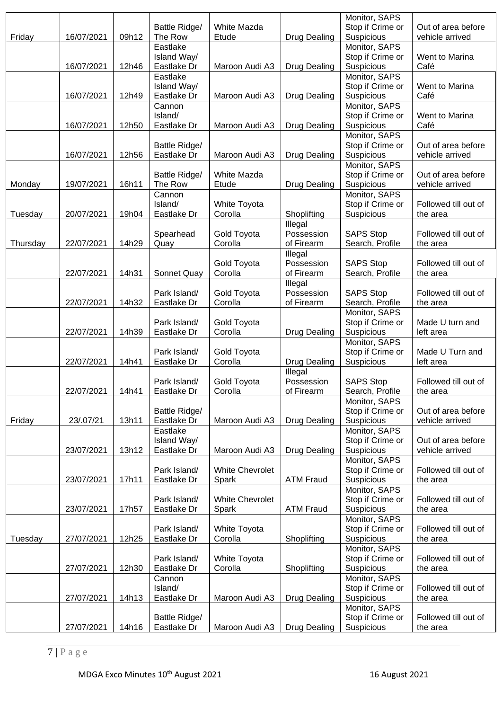|          |            |       |                              |                         |                       | Monitor, SAPS                     |                                       |
|----------|------------|-------|------------------------------|-------------------------|-----------------------|-----------------------------------|---------------------------------------|
| Friday   | 16/07/2021 | 09h12 | Battle Ridge/<br>The Row     | White Mazda<br>Etude    | <b>Drug Dealing</b>   | Stop if Crime or<br>Suspicious    | Out of area before<br>vehicle arrived |
|          |            |       | Eastlake                     |                         |                       | Monitor, SAPS                     |                                       |
|          |            |       | Island Way/                  |                         |                       | Stop if Crime or                  | Went to Marina                        |
|          | 16/07/2021 | 12h46 | Eastlake Dr                  | Maroon Audi A3          | <b>Drug Dealing</b>   | Suspicious                        | Café                                  |
|          |            |       | Eastlake                     |                         |                       | Monitor, SAPS                     |                                       |
|          |            |       | Island Way/                  |                         |                       | Stop if Crime or                  | Went to Marina                        |
|          | 16/07/2021 | 12h49 | Eastlake Dr                  | Maroon Audi A3          | <b>Drug Dealing</b>   | Suspicious                        | Café                                  |
|          |            |       | Cannon                       |                         |                       | Monitor, SAPS                     |                                       |
|          |            |       | Island/                      |                         |                       | Stop if Crime or                  | Went to Marina                        |
|          | 16/07/2021 | 12h50 | Eastlake Dr                  | Maroon Audi A3          | <b>Drug Dealing</b>   | Suspicious                        | Café                                  |
|          |            |       |                              |                         |                       | Monitor, SAPS<br>Stop if Crime or | Out of area before                    |
|          | 16/07/2021 | 12h56 | Battle Ridge/<br>Eastlake Dr | Maroon Audi A3          | <b>Drug Dealing</b>   | Suspicious                        | vehicle arrived                       |
|          |            |       |                              |                         |                       | Monitor, SAPS                     |                                       |
|          |            |       | Battle Ridge/                | White Mazda             |                       | Stop if Crime or                  | Out of area before                    |
| Monday   | 19/07/2021 | 16h11 | The Row                      | Etude                   | <b>Drug Dealing</b>   | Suspicious                        | vehicle arrived                       |
|          |            |       | Cannon                       |                         |                       | Monitor, SAPS                     |                                       |
|          |            |       | Island/                      | White Toyota            |                       | Stop if Crime or                  | Followed till out of                  |
| Tuesday  | 20/07/2021 | 19h04 | Eastlake Dr                  | Corolla                 | Shoplifting           | Suspicious                        | the area                              |
|          |            |       |                              |                         | Illegal               |                                   |                                       |
|          |            |       | Spearhead                    | Gold Toyota             | Possession            | <b>SAPS Stop</b>                  | Followed till out of                  |
| Thursday | 22/07/2021 | 14h29 | Quay                         | Corolla                 | of Firearm            | Search, Profile                   | the area                              |
|          |            |       |                              | Gold Toyota             | Illegal<br>Possession | <b>SAPS Stop</b>                  | Followed till out of                  |
|          | 22/07/2021 | 14h31 | Sonnet Quay                  | Corolla                 | of Firearm            | Search, Profile                   | the area                              |
|          |            |       |                              |                         | Illegal               |                                   |                                       |
|          |            |       | Park Island/                 | Gold Toyota             | Possession            | <b>SAPS Stop</b>                  | Followed till out of                  |
|          | 22/07/2021 | 14h32 | Eastlake Dr                  | Corolla                 | of Firearm            | Search, Profile                   | the area                              |
|          |            |       |                              |                         |                       | Monitor, SAPS                     |                                       |
|          |            |       | Park Island/                 | Gold Toyota             |                       | Stop if Crime or                  | Made U turn and                       |
|          | 22/07/2021 | 14h39 | Eastlake Dr                  | Corolla                 | <b>Drug Dealing</b>   | Suspicious                        | left area                             |
|          |            |       |                              |                         |                       | Monitor, SAPS                     |                                       |
|          | 22/07/2021 | 14h41 | Park Island/<br>Eastlake Dr  | Gold Toyota<br>Corolla  | <b>Drug Dealing</b>   | Stop if Crime or<br>Suspicious    | Made U Turn and<br>left area          |
|          |            |       |                              |                         | Illegal               |                                   |                                       |
|          |            |       | Park Island/                 | Gold Toyota             | Possession            | <b>SAPS Stop</b>                  | Followed till out of                  |
|          | 22/07/2021 | 14h41 | Eastlake Dr                  | Corolla                 | of Firearm            | Search, Profile                   | the area                              |
|          |            |       |                              |                         |                       | Monitor, SAPS                     |                                       |
|          |            |       | Battle Ridge/                |                         |                       | Stop if Crime or                  | Out of area before                    |
| Friday   | 23/.07/21  | 13h11 | Eastlake Dr                  | Maroon Audi A3          | <b>Drug Dealing</b>   | Suspicious                        | vehicle arrived                       |
|          |            |       | Eastlake                     |                         |                       | Monitor, SAPS                     |                                       |
|          |            | 13h12 | Island Way/                  |                         | Drug Dealing          | Stop if Crime or                  | Out of area before<br>vehicle arrived |
|          | 23/07/2021 |       | Eastlake Dr                  | Maroon Audi A3          |                       | Suspicious<br>Monitor, SAPS       |                                       |
|          |            |       | Park Island/                 | <b>White Chevrolet</b>  |                       | Stop if Crime or                  | Followed till out of                  |
|          | 23/07/2021 | 17h11 | Eastlake Dr                  | Spark                   | <b>ATM Fraud</b>      | Suspicious                        | the area                              |
|          |            |       |                              |                         |                       | Monitor, SAPS                     |                                       |
|          |            |       | Park Island/                 | <b>White Chevrolet</b>  |                       | Stop if Crime or                  | Followed till out of                  |
|          | 23/07/2021 | 17h57 | Eastlake Dr                  | Spark                   | <b>ATM Fraud</b>      | Suspicious                        | the area                              |
|          |            |       |                              |                         |                       | Monitor, SAPS                     |                                       |
|          |            |       | Park Island/                 | White Toyota            |                       | Stop if Crime or                  | Followed till out of                  |
| Tuesday  | 27/07/2021 | 12h25 | Eastlake Dr                  | Corolla                 | Shoplifting           | Suspicious                        | the area                              |
|          |            |       | Park Island/                 |                         |                       | Monitor, SAPS                     | Followed till out of                  |
|          | 27/07/2021 | 12h30 | Eastlake Dr                  | White Toyota<br>Corolla | Shoplifting           | Stop if Crime or<br>Suspicious    | the area                              |
|          |            |       | Cannon                       |                         |                       | Monitor, SAPS                     |                                       |
|          |            |       | Island/                      |                         |                       | Stop if Crime or                  | Followed till out of                  |
|          | 27/07/2021 | 14h13 | Eastlake Dr                  | Maroon Audi A3          | <b>Drug Dealing</b>   | Suspicious                        | the area                              |
|          |            |       |                              |                         |                       | Monitor, SAPS                     |                                       |
|          |            |       | Battle Ridge/                |                         |                       | Stop if Crime or                  | Followed till out of                  |
|          | 27/07/2021 | 14h16 | Eastlake Dr                  | Maroon Audi A3          | <b>Drug Dealing</b>   | Suspicious                        | the area                              |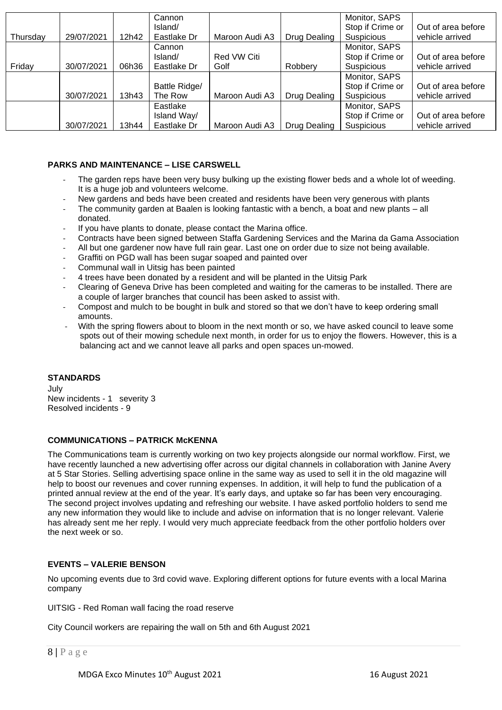|          |            |       | Cannon        |                |              | Monitor, SAPS     |                    |
|----------|------------|-------|---------------|----------------|--------------|-------------------|--------------------|
|          |            |       | Island/       |                |              | Stop if Crime or  | Out of area before |
| Thursday | 29/07/2021 | 12h42 | Eastlake Dr   | Maroon Audi A3 | Drug Dealing | <b>Suspicious</b> | vehicle arrived    |
|          |            |       | Cannon        |                |              | Monitor, SAPS     |                    |
|          |            |       | Island/       | Red VW Citi    |              | Stop if Crime or  | Out of area before |
| Friday   | 30/07/2021 | 06h36 | Eastlake Dr   | Golf           | Robbery      | Suspicious        | vehicle arrived    |
|          |            |       |               |                |              | Monitor, SAPS     |                    |
|          |            |       | Battle Ridge/ |                |              | Stop if Crime or  | Out of area before |
|          | 30/07/2021 | 13h43 | The Row       | Maroon Audi A3 | Drug Dealing | Suspicious        | vehicle arrived    |
|          |            |       | Eastlake      |                |              | Monitor, SAPS     |                    |
|          |            |       | Island Way/   |                |              | Stop if Crime or  | Out of area before |
|          | 30/07/2021 | 13h44 | Eastlake Dr   | Maroon Audi A3 | Drug Dealing | <b>Suspicious</b> | vehicle arrived    |

#### **PARKS AND MAINTENANCE – LISE CARSWELL**

- The garden reps have been very busy bulking up the existing flower beds and a whole lot of weeding. It is a huge job and volunteers welcome.
- New gardens and beds have been created and residents have been very generous with plants
- The community garden at Baalen is looking fantastic with a bench, a boat and new plants all donated.
- If you have plants to donate, please contact the Marina office.
- Contracts have been signed between Staffa Gardening Services and the Marina da Gama Association
- All but one gardener now have full rain gear. Last one on order due to size not being available.
- Graffiti on PGD wall has been sugar soaped and painted over
- Communal wall in Uitsig has been painted
- 4 trees have been donated by a resident and will be planted in the Uitsig Park
- Clearing of Geneva Drive has been completed and waiting for the cameras to be installed. There are a couple of larger branches that council has been asked to assist with.
- Compost and mulch to be bought in bulk and stored so that we don't have to keep ordering small amounts.
- With the spring flowers about to bloom in the next month or so, we have asked council to leave some spots out of their mowing schedule next month, in order for us to enjoy the flowers. However, this is a balancing act and we cannot leave all parks and open spaces un-mowed.

## **STANDARDS**

July New incidents - 1 severity 3 Resolved incidents - 9

#### **COMMUNICATIONS – PATRICK McKENNA**

The Communications team is currently working on two key projects alongside our normal workflow. First, we have recently launched a new advertising offer across our digital channels in collaboration with Janine Avery at 5 Star Stories. Selling advertising space online in the same way as used to sell it in the old magazine will help to boost our revenues and cover running expenses. In addition, it will help to fund the publication of a printed annual review at the end of the year. It's early days, and uptake so far has been very encouraging. The second project involves updating and refreshing our website. I have asked portfolio holders to send me any new information they would like to include and advise on information that is no longer relevant. Valerie has already sent me her reply. I would very much appreciate feedback from the other portfolio holders over the next week or so.

## **EVENTS – VALERIE BENSON**

No upcoming events due to 3rd covid wave. Exploring different options for future events with a local Marina company

UITSIG - Red Roman wall facing the road reserve

City Council workers are repairing the wall on 5th and 6th August 2021